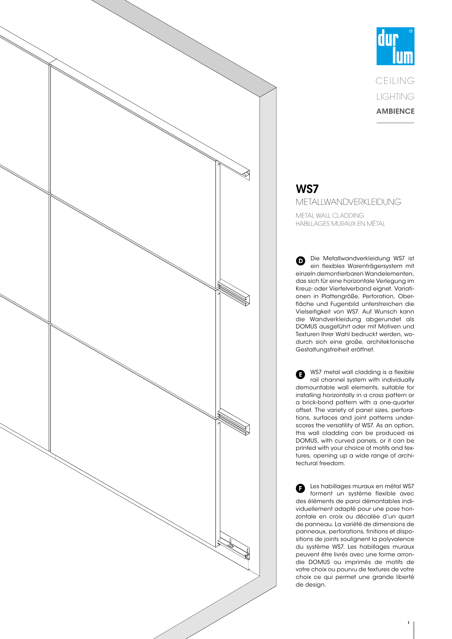

# **dur** CEIL ING LIGHTING **AMBIENCE**

### WS7 METALLWANDVERKLEIDUNG METAL WALL CLADDING

HABILLAGES MURAUX EN MÉTAL

Die Metallwandverkleidung WS7 ist  $\mathbf \Omega$ ein flexibles Warenträgersystem mit einzeln demontierbaren Wandelementen, das sich für eine horizontale Verlegung im Kreuz- oder Viertelverband eignet. Variationen in Plattengröße, Perforation, Oberfläche und Fugenbild unterstreichen die Vielseitigkeit von WS7. Auf Wunsch kann die Wandverkleidung abgerundet als DOMUS ausgeführt oder mit Motiven und Texturen Ihrer Wahl bedruckt werden, wodurch sich eine große, architektonische Gestaltungsfreiheit eröffnet.

WS7 metal wall cladding is a flexible O rail channel system with individually demountable wall elements, suitable for installing horizontally in a cross pattern or a brick-bond pattern with a one-quarter offset. The variety of panel sizes, perforations, surfaces and joint patterns underscores the versatility of WS7. As an option, this wall cladding can be produced as DOMUS, with curved panels, or it can be printed with your choice of motifs and textures, opening up a wide range of architectural freedom.

Les habillages muraux en métal WS7 A forment un système flexible avec des éléments de paroi démontables individuellement adapté pour une pose horizontale en croix ou décalée d'un quart de panneau. La variété de dimensions de panneaux, perforations, finitions et dispositions de joints soulignent la polyvalence du système WS7. Les habillages muraux peuvent être livrés avec une forme arrondie DOMUS ou imprimés de motifs de votre choix ou pourvu de textures de votre choix ce qui permet une grande liberté de design.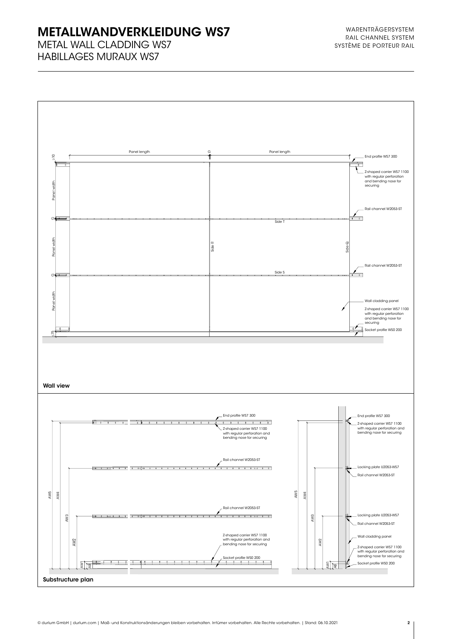# METALLWANDVERKLEIDUNG WS7

METAL WALL CLADDING WS7 HABILLAGES MURAUX WS7

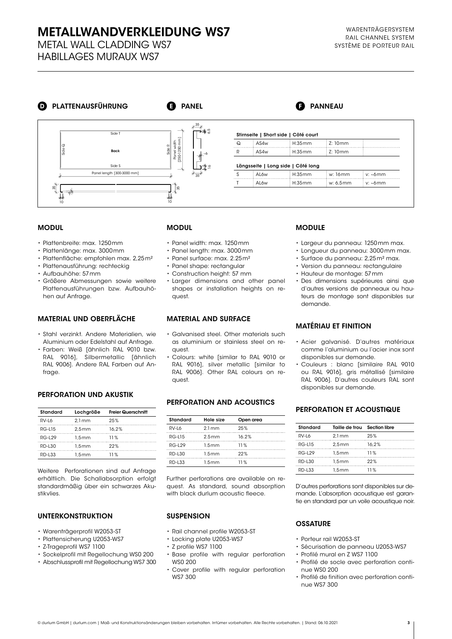# **METALLWANDVERKLEIDUNG WS7** WARENTRÄGERSYSTEM

METAL WALL CLADDING WS7 HABILLAGES MURAUX WS7

# **D** PLATTENAUSFÜHRUNG

**B** PANEL



#### MODUL

- Plattenbreite: max. 1250mm
- Plattenlänge: max. 3000mm
- Plattenfläche: empfohlen max. 2,25m²
- Plattenausführung: rechteckig
- Aufbauhöhe: 57mm
- Größere Abmessungen sowie weitere Plattenausführungen bzw. Aufbauhöhen auf Anfrage.

#### MATERIAL UND OBERFLÄCHE

- Stahl verzinkt. Andere Materialien, wie Aluminium oder Edelstahl auf Anfrage.
- Farben: Weiß [ähnlich RAL 9010 bzw. RAL 9016], Silbermetallic [ähnlich RAL 9006]. Andere RAL Farben auf Anfrage.

#### PERFORATION UND AKUSTIK

| Standard | Lochgröße         | <b>Freier Querschnitt</b> |
|----------|-------------------|---------------------------|
| RV-I6    | $2.1 \text{ mm}$  | 25%                       |
| RG-L15   | 2.5 <sub>mm</sub> | 16.2%                     |
| RG-129   | 1.5 <sub>mm</sub> | 11%                       |
| RD-L30   | 1.5 <sub>mm</sub> | 22%                       |
| RD-133   | 1.5 <sub>mm</sub> | 11%                       |

Weitere Perforationen sind auf Anfrage erhältlich. Die Schallabsorption erfolgt standardmäßig über ein schwarzes Akustikvlies.

#### UNTERKONSTRUKTION

- Warenträgerprofil W2053-ST
- Plattensicherung U2053-WS7
- Z-Trageprofil WS7 1100
- 
- 
- 
- 
- 
- Sockelprofil mit Regellochung WS0 200
- Abschlussprofil mit Regellochung WS7 300

#### MODUL

- Panel width: max. 1250mm
- Panel length: max. 3000mm
- Panel surface: max. 2.25m²
- Panel shape: rectangular
- Construction height: 57 mm
- Larger dimensions and other panel shapes or installation heights on request.

#### MATERIAL AND SURFACE

- Galvanised steel. Other materials such as aluminium or stainless steel on request.
- Colours: white [similar to RAL 9010 or RAL 9016], silver metallic [similar to RAL 9006]. Other RAL colours on request.

#### PERFORATION AND ACOUSTICS

| Standard      | Hole size         | Open area |
|---------------|-------------------|-----------|
| RV-I 6        | 21mm              | 25%       |
| RG-L15        | 2.5 <sub>mm</sub> | 16.2%     |
| $RG-129$      | 1.5mm             | 11%       |
| RD-L30        | 1.5mm             | 22%       |
| <b>RD-L33</b> | 1.5mm             | 11%       |

Further perforations are available on request. As standard, sound absorption with black durlum acoustic fleece.

#### **SUSPENSION**

- Rail channel profile W2053-ST
- Locking plate U2053-WS7
- Z profile WS7 1100
- Base profile with regular perforation WS0 200
- Cover profile with regular perforation WS7 300

#### **MODULE**

S AL6w H:35mm w: 16mm v: ~6mm AL6w H:35mm w: 6,5mm v: ~6mm

- Largeur du panneau: 1250mm max.
- Longueur du panneau: 3000mm max.
- Surface du panneau: 2,25m² max.
- Version du panneau: rectangulaire
- Hauteur de montage: 57mm
- Des dimensions supérieures ainsi que d'autres versions de panneaux ou hauteurs de montage sont disponibles sur demande.

#### MATÉRIAU ET FINITION

- Acier galvanisé. D'autres matériaux comme l'aluminium ou l'acier inox sont disponibles sur demande.
- Couleurs : blanc [similaire RAL 9010 ou RAL 9016], gris métallisé [similaire RAL 9006]. D'autres couleurs RAL sont disponibles sur demande.

#### PERFORATION ET ACOUSTIQUE

| Standard      | Taille de trou Section libre |       |
|---------------|------------------------------|-------|
| RV-I 6        | 2.1 <sub>mm</sub>            | 25%   |
| RG-L15        | 2.5 <sub>mm</sub>            | 16.2% |
| $RG-129$      | 1.5 <sub>mm</sub>            | 11%   |
| <b>RD-L30</b> | 1.5 <sub>mm</sub>            | 22%   |
| RD-133        | 1.5 <sub>mm</sub>            | 11%   |

D'autres perforations sont disponibles sur demande. L'absorption acoustique est garantie en standard par un voile acoustique noir.

#### **OSSATURE**

- Porteur rail W2053-ST
- Sécurisation de panneau U2053-WS7
- Profilé mural en Z WS7 1100
- Profilé de socle avec perforation continue WS0 200
- Profilé de finition avec perforation continue WS7 300

### **PANNEAU**

Stirnseite | Short side | Côté court

Längsseite | Long side | Côté long

Q AS4w H:35mm Z: 10mm R AS4w H:35mm Z: 10mm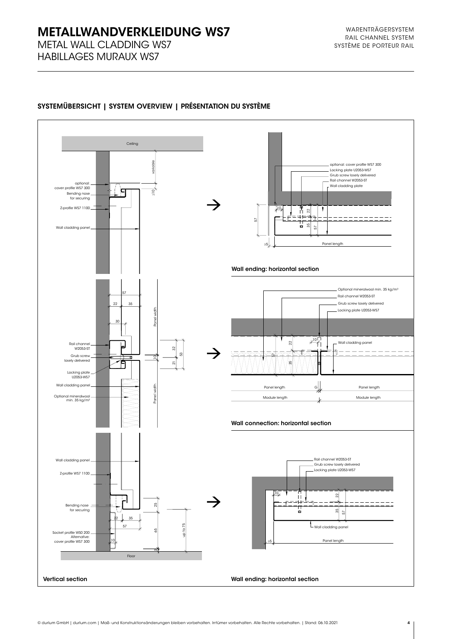# **METALLWANDVERKLEIDUNG WS7**

METAL WALL CLADDING WS7 HABILLAGES MURAUX WS7



### SYSTEMÜBERSICHT | SYSTEM OVERVIEW | PRÉSENTATION DU SYSTÈME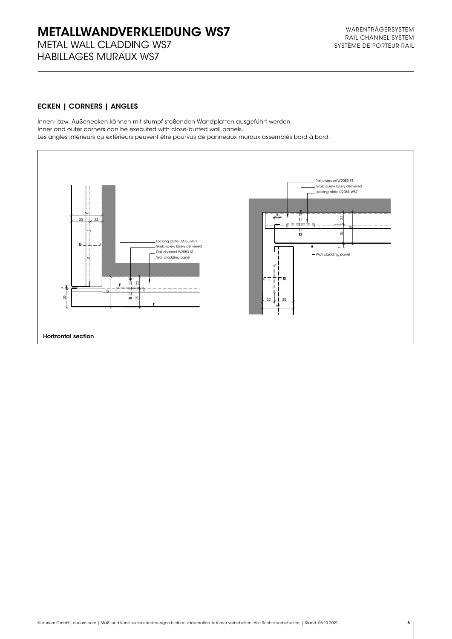## METALLWANDVERKLEIDUNG WS7 METAL WALL CLADDING WS7

HABILLAGES MURAUX WS7

#### ECKEN | CORNERS | ANGLES

Innen- bzw. Außenecken können mit stumpf stoßenden Wandplatten ausgeführt werden. Inner and outer corners can be executed with close-butted wall panels. Les angles intérieurs ou extérieurs peuvent être pourvus de panneaux muraux assemblés bord à bord.